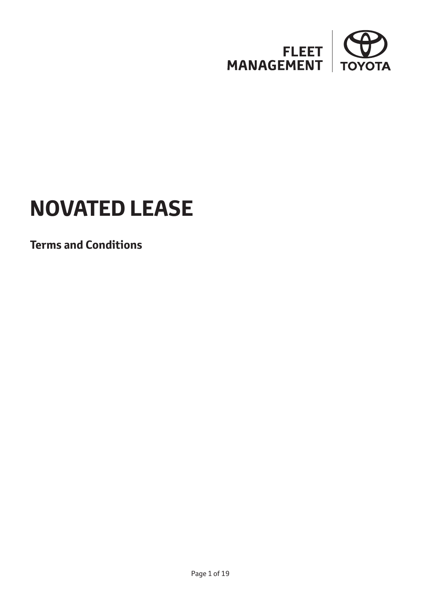

# **NOVATED LEASE**

**Terms and Conditions**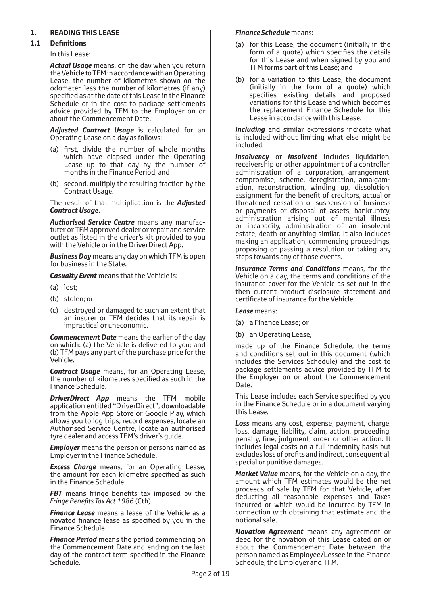## **1. READING THIS LEASE**

#### **1.1 Definitions**

In this Lease:

*Actual Usage* means, on the day when you return the Vehicle to TFM in accordance with an Operating Lease, the number of kilometres shown on the odometer, less the number of kilometres (if any) specified as at the date of this Lease in the Finance Schedule or in the cost to package settlements advice provided by TFM to the Employer on or about the Commencement Date.

*Adjusted Contract Usage* is calculated for an Operating Lease on a day as follows:

- (a) first, divide the number of whole months which have elapsed under the Operating Lease up to that day by the number of months in the Finance Period, and
- (b) second, multiply the resulting fraction by the Contract Usage.

The result of that multiplication is the *Adjusted Contract Usage*.

*Authorised Service Centre* means any manufacturer or TFM approved dealer or repair and service outlet as listed in the driver's kit provided to you with the Vehicle or in the DriverDirect App.

*Business Day* means any day on which TFM is open for business in the State.

*Casualty Event* means that the Vehicle is:

- (a) lost;
- (b) stolen; or
- (c) destroyed or damaged to such an extent that an insurer or TFM decides that its repair is impractical or uneconomic.

*Commencement Date* means the earlier of the day on which: (a) the Vehicle is delivered to you; and (b) TFM pays any part of the purchase price for the Vehicle.

*Contract Usage* means, for an Operating Lease, the number of kilometres specified as such in the Finance Schedule.

**DriverDirect App** means the TFM mobile application entitled "DriverDirect", downloadable from the Apple App Store or Google Play, which allows you to log trips, record expenses, locate an Authorised Service Centre, locate an authorised tyre dealer and access TFM's driver's guide.

*Employer* means the person or persons named as Employer in the Finance Schedule.

*Excess Charge* means, for an Operating Lease, the amount for each kilometre specified as such in the Finance Schedule.

**FBT** means fringe benefits tax imposed by the *Fringe Benefits Tax Act 1986* (Cth).

*Finance Lease* means a lease of the Vehicle as a novated finance lease as specified by you in the Finance Schedule.

*Finance Period* means the period commencing on the Commencement Date and ending on the last day of the contract term specified in the Finance Schedule.

#### *Finance Schedule* means:

- (a) for this Lease, the document (initially in the form of a quote) which specifies the details for this Lease and when signed by you and TFM forms part of this Lease; and
- (b) for a variation to this Lease, the document (initially in the form of a quote) which specifies existing details and proposed variations for this Lease and which becomes the replacement Finance Schedule for this Lease in accordance with this Lease.

*including* and similar expressions indicate what is included without limiting what else might be included.

*Insolvency* or *Insolvent* includes liquidation, receivership or other appointment of a controller, administration of a corporation, arrangement, compromise, scheme, deregistration, amalgamation, reconstruction, winding up, dissolution, assignment for the benefit of creditors, actual or threatened cessation or suspension of business or payments or disposal of assets, bankruptcy, administration arising out of mental illness or incapacity, administration of an insolvent estate, death or anything similar. It also includes making an application, commencing proceedings, proposing or passing a resolution or taking any steps towards any of those events.

*Insurance Terms and Conditions* means, for the Vehicle on a day, the terms and conditions of the insurance cover for the Vehicle as set out in the then current product disclosure statement and certificate of insurance for the Vehicle.

*Lease* means:

- (a) a Finance Lease; or
- (b) an Operating Lease,

made up of the Finance Schedule, the terms and conditions set out in this document (which includes the Services Schedule) and the cost to package settlements advice provided by TFM to the Employer on or about the Commencement Date.

This Lease includes each Service specified by you in the Finance Schedule or in a document varying this Lease.

*Loss* means any cost, expense, payment, charge, loss, damage, liability, claim, action, proceeding, penalty, fine, judgment, order or other action. It includes legal costs on a full indemnity basis but excludes loss of profits and indirect, consequential, special or punitive damages.

*Market Value* means, for the Vehicle on a day, the amount which TFM estimates would be the net proceeds of sale by TFM for that Vehicle, after deducting all reasonable expenses and Taxes incurred or which would be incurred by TFM in connection with obtaining that estimate and the notional sale.

*Novation Agreement* means any agreement or deed for the novation of this Lease dated on or about the Commencement Date between the person named as Employee/Lessee in the Finance Schedule, the Employer and TFM.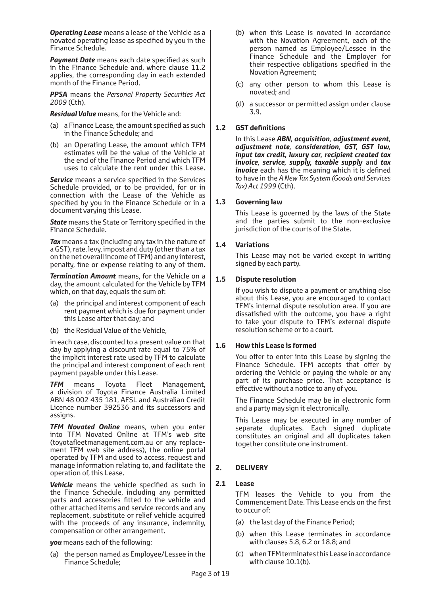*Operating Lease* means a lease of the Vehicle as a novated operating lease as specified by you in the Finance Schedule.

**Payment Date** means each date specified as such in the Finance Schedule and, where clause 11.2 applies, the corresponding day in each extended month of the Finance Period.

*PPSA* means the *Personal Property Securities Act 2009* (Cth).

*Residual Value* means, for the Vehicle and:

- (a) a Finance Lease, the amount specified as such in the Finance Schedule; and
- (b) an Operating Lease, the amount which TFM estimates will be the value of the Vehicle at the end of the Finance Period and which TFM uses to calculate the rent under this Lease.

**Service** means a service specified in the Services Schedule provided, or to be provided, for or in connection with the Lease of the Vehicle as specified by you in the Finance Schedule or in a document varying this Lease.

*State* means the State or Territory specified in the Finance Schedule.

*Tax* means a tax (including any tax in the nature of a GST), rate, levy, impost and duty (other than a tax on the net overall income of TFM) and any interest, penalty, fine or expense relating to any of them.

*Termination Amount* means, for the Vehicle on a day, the amount calculated for the Vehicle by TFM which, on that day, equals the sum of:

- (a) the principal and interest component of each rent payment which is due for payment under this Lease after that day; and
- (b) the Residual Value of the Vehicle,

in each case, discounted to a present value on that day by applying a discount rate equal to 75% of the implicit interest rate used by TFM to calculate the principal and interest component of each rent payment payable under this Lease.

*TFM* means Toyota Fleet Management, a division of Toyota Finance Australia Limited ABN 48 002 435 181, AFSL and Australian Credit Licence number 392536 and its successors and assigns.

*TFM Novated Online* means, when you enter into TFM Novated Online at TFM's web site (toyotafleetmanagement.com.au or any replacement TFM web site address), the online portal operated by TFM and used to access, request and manage information relating to, and facilitate the operation of, this Lease.

**Vehicle** means the vehicle specified as such in the Finance Schedule, including any permitted parts and accessories fitted to the vehicle and other attached items and service records and any replacement, substitute or relief vehicle acquired with the proceeds of any insurance, indemnity, compensation or other arrangement.

*you* means each of the following:

(a) the person named as Employee/Lessee in the Finance Schedule;

- (b) when this Lease is novated in accordance with the Novation Agreement, each of the person named as Employee/Lessee in the Finance Schedule and the Employer for their respective obligations specified in the Novation Agreement;
- (c) any other person to whom this Lease is novated; and
- (d) a successor or permitted assign under clause 3.9.

#### **1.2 GST definitions**

In this Lease *ABN, acquisition, adjustment event, adjustment note, consideration, GST, GST law, input tax credit, luxury car, recipient created tax invoice, service, supply, taxable supply* and *tax invoice* each has the meaning which it is defined to have in the *A New Tax System (Goods and Services Tax) Act 1999* (Cth).

#### **1.3 Governing law**

This Lease is governed by the laws of the State and the parties submit to the non-exclusive jurisdiction of the courts of the State.

#### **1.4 Variations**

This Lease may not be varied except in writing signed by each party.

#### **1.5 Dispute resolution**

If you wish to dispute a payment or anything else about this Lease, you are encouraged to contact TFM's internal dispute resolution area. If you are dissatisfied with the outcome, you have a right to take your dispute to TFM's external dispute resolution scheme or to a court.

#### **1.6 How this Lease is formed**

You offer to enter into this Lease by signing the Finance Schedule. TFM accepts that offer by ordering the Vehicle or paying the whole or any part of its purchase price. That acceptance is effective without a notice to any of you.

The Finance Schedule may be in electronic form and a party may sign it electronically.

This Lease may be executed in any number of separate duplicates. Each signed duplicate constitutes an original and all duplicates taken together constitute one instrument.

## **2. DELIVERY**

#### **2.1 Lease**

TFM leases the Vehicle to you from the Commencement Date. This Lease ends on the first to occur of:

- (a) the last day of the Finance Period;
- (b) when this Lease terminates in accordance with clauses 5.8, 6.2 or 18.8; and
- (c) when TFM terminates this Lease in accordance with clause 10.1(b).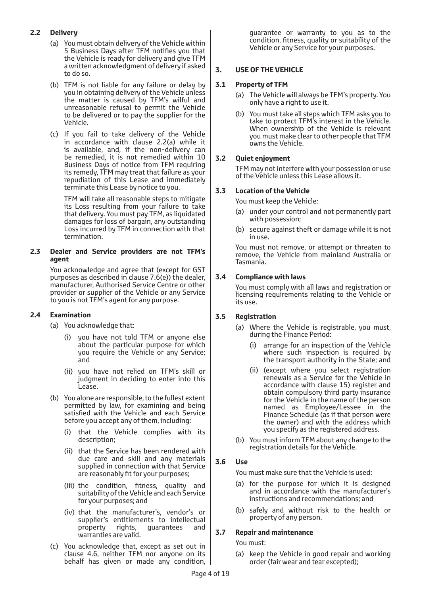## **2.2 Delivery**

- (a) You must obtain delivery of the Vehicle within 5 Business Days after TFM notifies you that the Vehicle is ready for delivery and give TFM a written acknowledgment of delivery if asked to do so.
- (b) TFM is not liable for any failure or delay by you in obtaining delivery of the Vehicle unless the matter is caused by TFM's wilful and unreasonable refusal to permit the Vehicle to be delivered or to pay the supplier for the Vehicle.
- (c) If you fail to take delivery of the Vehicle in accordance with clause 2.2(a) while it is available, and, if the non-delivery can be remedied, it is not remedied within 10 Business Days of notice from TFM requiring its remedy, TFM may treat that failure as your repudiation of this Lease and immediately terminate this Lease by notice to you.

TFM will take all reasonable steps to mitigate its Loss resulting from your failure to take that delivery. You must pay TFM, as liquidated damages for loss of bargain, any outstanding Loss incurred by TFM in connection with that termination.

#### **2.3 Dealer and Service providers are not TFM's agent**

You acknowledge and agree that (except for GST purposes as described in clause 7.6(e)) the dealer, manufacturer, Authorised Service Centre or other provider or supplier of the Vehicle or any Service to you is not TFM's agent for any purpose.

## **2.4 Examination**

- (a) You acknowledge that:
	- (i) you have not told TFM or anyone else about the particular purpose for which you require the Vehicle or any Service; and
	- (ii) you have not relied on TFM's skill or judgment in deciding to enter into this Lease.
- (b) You alone are responsible, to the fullest extent permitted by law, for examining and being satisfied with the Vehicle and each Service before you accept any of them, including:
	- (i) that the Vehicle complies with its description;
	- (ii) that the Service has been rendered with due care and skill and any materials supplied in connection with that Service are reasonably fit for your purposes;
	- (iii) the condition, fitness, quality and suitability of the Vehicle and each Service for your purposes; and
	- (iv) that the manufacturer's, vendor's or supplier's entitlements to intellectual property rights, guarantees and warranties are valid.
- (c) You acknowledge that, except as set out in clause 4.6, neither TFM nor anyone on its behalf has given or made any condition,

guarantee or warranty to you as to the condition, fitness, quality or suitability of the Vehicle or any Service for your purposes.

## **3. USE OF THE VEHICLE**

## **3.1 Property of TFM**

- (a) The Vehicle will always be TFM's property. You only have a right to use it.
- (b) You must take all steps which TFM asks you to take to protect TFM's interest in the Vehicle. When ownership of the Vehicle is relevant you must make clear to other people that TFM owns the Vehicle.

#### **3.2 Quiet enjoyment**

TFM may not interfere with your possession or use of the Vehicle unless this Lease allows it.

#### **3.3 Location of the Vehicle**

You must keep the Vehicle:

- (a) under your control and not permanently part with possession;
- (b) secure against theft or damage while it is not in use.

You must not remove, or attempt or threaten to remove, the Vehicle from mainland Australia or Tasmania.

#### **3.4 Compliance with laws**

You must comply with all laws and registration or licensing requirements relating to the Vehicle or its use.

## **3.5 Registration**

- (a) Where the Vehicle is registrable, you must, during the Finance Period:
	- (i) arrange for an inspection of the Vehicle where such inspection is required by the transport authority in the State; and
	- (ii) (except where you select registration renewals as a Service for the Vehicle in accordance with clause 15) register and obtain compulsory third party insurance for the Vehicle in the name of the person named as Employee/Lessee in the Finance Schedule (as if that person were the owner) and with the address which you specify as the registered address.
- (b) You must inform TFM about any change to the registration details for the Vehicle.

#### **3.6 Use**

You must make sure that the Vehicle is used:

- (a) for the purpose for which it is designed and in accordance with the manufacturer's instructions and recommendations; and
- (b) safely and without risk to the health or property of any person.

#### **3.7 Repair and maintenance**

You must:

(a) keep the Vehicle in good repair and working order (fair wear and tear excepted);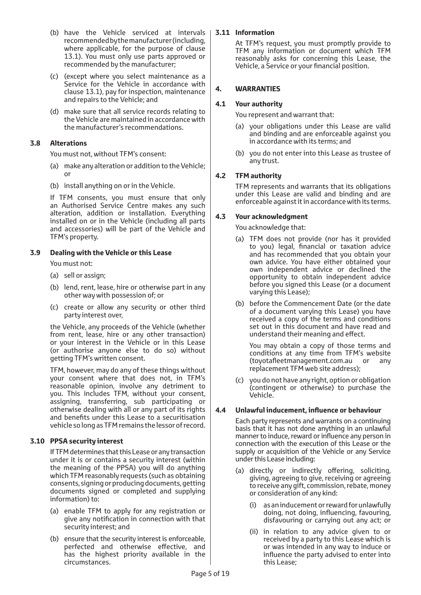- (b) have the Vehicle serviced at intervals recommended by the manufacturer (including, where applicable, for the purpose of clause 13.1). You must only use parts approved or recommended by the manufacturer;
- (c) (except where you select maintenance as a Service for the Vehicle in accordance with clause 13.1), pay for inspection, maintenance and repairs to the Vehicle; and
- (d) make sure that all service records relating to the Vehicle are maintained in accordance with the manufacturer's recommendations.

#### **3.8 Alterations**

You must not, without TFM's consent:

- (a) make any alteration or addition to the Vehicle; or
- (b) install anything on or in the Vehicle.

If TFM consents, you must ensure that only an Authorised Service Centre makes any such alteration, addition or installation. Everything installed on or in the Vehicle (including all parts and accessories) will be part of the Vehicle and TFM's property.

#### **3.9 Dealing with the Vehicle or this Lease**

You must not:

- (a) sell or assign;
- (b) lend, rent, lease, hire or otherwise part in any other way with possession of; or
- (c) create or allow any security or other third party interest over,

the Vehicle, any proceeds of the Vehicle (whether from rent, lease, hire or any other transaction) or your interest in the Vehicle or in this Lease (or authorise anyone else to do so) without getting TFM's written consent.

TFM, however, may do any of these things without your consent where that does not, in TFM's reasonable opinion, involve any detriment to you. This includes TFM, without your consent, assigning, transferring, sub participating or otherwise dealing with all or any part of its rights and benefits under this Lease to a securitisation vehicle so long as TFM remains the lessor of record.

#### **3.10 PPSA security interest**

If TFM determines that this Lease or any transaction under it is or contains a security interest (within the meaning of the PPSA) you will do anything which TFM reasonably requests (such as obtaining consents, signing or producing documents, getting documents signed or completed and supplying information) to:

- (a) enable TFM to apply for any registration or give any notification in connection with that security interest; and
- (b) ensure that the security interest is enforceable, perfected and otherwise effective, and has the highest priority available in the circumstances.

#### **3.11 Information**

At TFM's request, you must promptly provide to TFM any information or document which TFM reasonably asks for concerning this Lease, the Vehicle, a Service or your financial position.

#### **4. WARRANTIES**

#### **4.1 Your authority**

You represent and warrant that:

- (a) your obligations under this Lease are valid and binding and are enforceable against you in accordance with its terms; and
- (b) you do not enter into this Lease as trustee of any trust.

#### **4.2 TFM authority**

TFM represents and warrants that its obligations under this Lease are valid and binding and are enforceable against it in accordance with its terms.

#### **4.3 Your acknowledgment**

You acknowledge that:

- (a) TFM does not provide (nor has it provided to you) legal, financial or taxation advice and has recommended that you obtain your own advice. You have either obtained your own independent advice or declined the opportunity to obtain independent advice before you signed this Lease (or a document varying this Lease);
- (b) before the Commencement Date (or the date of a document varying this Lease) you have received a copy of the terms and conditions set out in this document and have read and understand their meaning and effect.

You may obtain a copy of those terms and conditions at any time from TFM's website (toyotafleetmanagement.com.au or any replacement TFM web site address);

(c) you do not have any right, option or obligation (contingent or otherwise) to purchase the Vehicle.

#### **4.4 Unlawful inducement, influence or behaviour**

Each party represents and warrants on a continuing basis that it has not done anything in an unlawful manner to induce, reward or influence any person in connection with the execution of this Lease or the supply or acquisition of the Vehicle or any Service under this Lease including:

- (a) directly or indirectly offering, soliciting, giving, agreeing to give, receiving or agreeing to receive any gift, commission, rebate, money or consideration of any kind:
	- as an inducement or reward for unlawfully doing, not doing, influencing, favouring, disfavouring or carrying out any act; or
	- (ii) in relation to any advice given to or received by a party to this Lease which is or was intended in any way to induce or influence the party advised to enter into this Lease;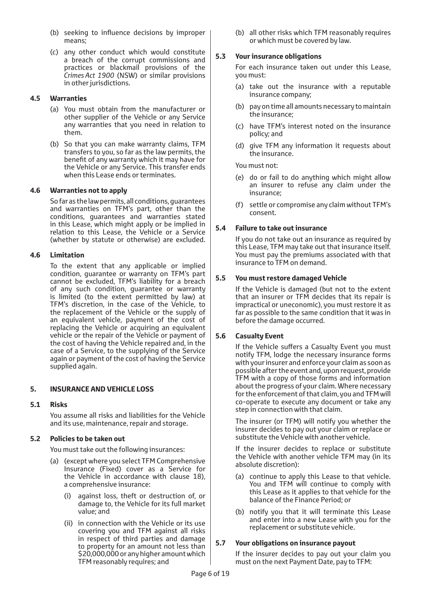- (b) seeking to influence decisions by improper means;
- (c) any other conduct which would constitute a breach of the corrupt commissions and practices or blackmail provisions of the *Crimes Act 1900* (NSW) or similar provisions in other jurisdictions.

#### **4.5 Warranties**

- (a) You must obtain from the manufacturer or other supplier of the Vehicle or any Service any warranties that you need in relation to them.
- (b) So that you can make warranty claims, TFM transfers to you, so far as the law permits, the benefit of any warranty which it may have for the Vehicle or any Service. This transfer ends when this Lease ends or terminates.

#### **4.6 Warranties not to apply**

So far as the law permits, all conditions, guarantees and warranties on TFM's part, other than the conditions, guarantees and warranties stated in this Lease, which might apply or be implied in relation to this Lease, the Vehicle or a Service (whether by statute or otherwise) are excluded.

#### **4.6 Limitation**

To the extent that any applicable or implied condition, guarantee or warranty on TFM's part cannot be excluded, TFM's liability for a breach of any such condition, guarantee or warranty is limited (to the extent permitted by law) at TFM's discretion, in the case of the Vehicle, to the replacement of the Vehicle or the supply of an equivalent vehicle, payment of the cost of replacing the Vehicle or acquiring an equivalent vehicle or the repair of the Vehicle or payment of the cost of having the Vehicle repaired and, in the case of a Service, to the supplying of the Service again or payment of the cost of having the Service supplied again.

## **5. INSURANCE AND VEHICLE LOSS**

#### **5.1 Risks**

You assume all risks and liabilities for the Vehicle and its use, maintenance, repair and storage.

#### **5.2 Policies to be taken out**

You must take out the following insurances:

- (a) (except where you select TFM Comprehensive Insurance (Fixed) cover as a Service for the Vehicle in accordance with clause 18), a comprehensive insurance:
	- (i) against loss, theft or destruction of, or damage to, the Vehicle for its full market value; and
	- (ii) in connection with the Vehicle or its use covering you and TFM against all risks in respect of third parties and damage to property for an amount not less than \$20,000,000 or any higher amount which TFM reasonably requires; and

(b) all other risks which TFM reasonably requires or which must be covered by law.

#### **5.3 Your insurance obligations**

For each insurance taken out under this Lease, you must:

- (a) take out the insurance with a reputable insurance company;
- (b) pay on time all amounts necessary to maintain the insurance;
- (c) have TFM's interest noted on the insurance policy; and
- (d) give TFM any information it requests about the insurance.

You must not:

- (e) do or fail to do anything which might allow an insurer to refuse any claim under the insurance;
- (f) settle or compromise any claim without TFM's consent.

#### **5.4 Failure to take out insurance**

If you do not take out an insurance as required by this Lease, TFM may take out that insurance itself. You must pay the premiums associated with that insurance to TFM on demand.

#### **5.5 You must restore damaged Vehicle**

If the Vehicle is damaged (but not to the extent that an insurer or TFM decides that its repair is impractical or uneconomic), you must restore it as far as possible to the same condition that it was in before the damage occurred.

## **5.6 Casualty Event**

If the Vehicle suffers a Casualty Event you must notify TFM, lodge the necessary insurance forms with your insurer and enforce your claim as soon as possible after the event and, upon request, provide TFM with a copy of those forms and information about the progress of your claim. Where necessary for the enforcement of that claim, you and TFM will co-operate to execute any document or take any step in connection with that claim.

The insurer (or TFM) will notify you whether the insurer decides to pay out your claim or replace or substitute the Vehicle with another vehicle.

If the insurer decides to replace or substitute the Vehicle with another vehicle TFM may (in its absolute discretion):

- (a) continue to apply this Lease to that vehicle. You and TFM will continue to comply with this Lease as it applies to that vehicle for the balance of the Finance Period; or
- (b) notify you that it will terminate this Lease and enter into a new Lease with you for the replacement or substitute vehicle.

#### **5.7 Your obligations on insurance payout**

If the insurer decides to pay out your claim you must on the next Payment Date, pay to TFM: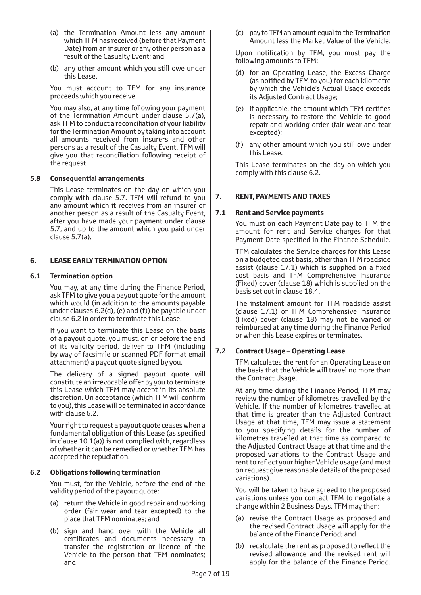- (a) the Termination Amount less any amount which TFM has received (before that Payment Date) from an insurer or any other person as a result of the Casualty Event; and
- (b) any other amount which you still owe under this Lease.

You must account to TFM for any insurance proceeds which you receive.

You may also, at any time following your payment of the Termination Amount under clause 5.7(a), ask TFM to conduct a reconciliation of your liability for the Termination Amount by taking into account all amounts received from insurers and other persons as a result of the Casualty Event. TFM will give you that reconciliation following receipt of the request.

#### **5.8 Consequential arrangements**

This Lease terminates on the day on which you comply with clause 5.7. TFM will refund to you any amount which it receives from an insurer or another person as a result of the Casualty Event, after you have made your payment under clause 5.7, and up to the amount which you paid under clause 5.7(a).

#### **6. LEASE EARLY TERMINATION OPTION**

#### **6.1 Termination option**

You may, at any time during the Finance Period, ask TFM to give you a payout quote for the amount which would (in addition to the amounts payable under clauses 6.2(d), (e) and (f)) be payable under clause 6.2 in order to terminate this Lease.

If you want to terminate this Lease on the basis of a payout quote, you must, on or before the end of its validity period, deliver to TFM (including by way of facsimile or scanned PDF format email attachment) a payout quote signed by you.

The delivery of a signed payout quote will constitute an irrevocable offer by you to terminate this Lease which TFM may accept in its absolute discretion. On acceptance (which TFM will confirm to you), this Lease will be terminated in accordance with clause 6.2.

Your right to request a payout quote ceases when a fundamental obligation of this Lease (as specified in clause 10.1(a)) is not complied with, regardless of whether it can be remedied or whether TFM has accepted the repudiation.

#### **6.2 Obligations following termination**

You must, for the Vehicle, before the end of the validity period of the payout quote:

- (a) return the Vehicle in good repair and working order (fair wear and tear excepted) to the place that TFM nominates; and
- (b) sign and hand over with the Vehicle all certificates and documents necessary to transfer the registration or licence of the Vehicle to the person that TFM nominates; and

(c) pay to TFM an amount equal to the Termination Amount less the Market Value of the Vehicle.

Upon notification by TFM, you must pay the following amounts to TFM:

- (d) for an Operating Lease, the Excess Charge (as notified by TFM to you) for each kilometre by which the Vehicle's Actual Usage exceeds its Adjusted Contract Usage;
- (e) if applicable, the amount which TFM certifies is necessary to restore the Vehicle to good repair and working order (fair wear and tear excepted);
- (f) any other amount which you still owe under this Lease.

This Lease terminates on the day on which you comply with this clause 6.2.

## **7. RENT, PAYMENTS AND TAXES**

#### **7.1 Rent and Service payments**

You must on each Payment Date pay to TFM the amount for rent and Service charges for that Payment Date specified in the Finance Schedule.

TFM calculates the Service charges for this Lease on a budgeted cost basis, other than TFM roadside assist (clause 17.1) which is supplied on a fixed cost basis and TFM Comprehensive Insurance (Fixed) cover (clause 18) which is supplied on the basis set out in clause 18.4.

The instalment amount for TFM roadside assist (clause 17.1) or TFM Comprehensive Insurance (Fixed) cover (clause 18) may not be varied or reimbursed at any time during the Finance Period or when this Lease expires or terminates.

## **7.2 Contract Usage – Operating Lease**

TFM calculates the rent for an Operating Lease on the basis that the Vehicle will travel no more than the Contract Usage.

At any time during the Finance Period, TFM may review the number of kilometres travelled by the Vehicle. If the number of kilometres travelled at that time is greater than the Adjusted Contract Usage at that time, TFM may issue a statement to you specifying details for the number of kilometres travelled at that time as compared to the Adjusted Contract Usage at that time and the proposed variations to the Contract Usage and rent to reflect your higher Vehicle usage (and must on request give reasonable details of the proposed variations).

You will be taken to have agreed to the proposed variations unless you contact TFM to negotiate a change within 2 Business Days. TFM may then:

- (a) revise the Contract Usage as proposed and the revised Contract Usage will apply for the balance of the Finance Period; and
- (b) recalculate the rent as proposed to reflect the revised allowance and the revised rent will apply for the balance of the Finance Period.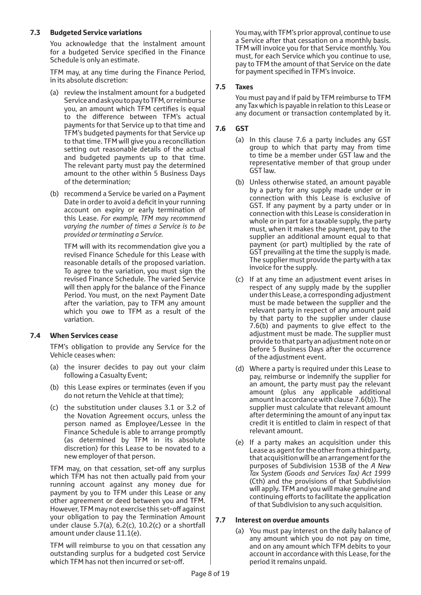## **7.3 Budgeted Service variations**

You acknowledge that the instalment amount for a budgeted Service specified in the Finance Schedule is only an estimate.

TFM may, at any time during the Finance Period, in its absolute discretion:

- (a) review the instalment amount for a budgeted Service and ask you to pay to TFM, or reimburse you, an amount which TFM certifies is equal to the difference between TFM's actual payments for that Service up to that time and TFM's budgeted payments for that Service up to that time. TFM will give you a reconciliation setting out reasonable details of the actual and budgeted payments up to that time. The relevant party must pay the determined amount to the other within 5 Business Days of the determination;
- (b) recommend a Service be varied on a Payment Date in order to avoid a deficit in your running account on expiry or early termination of this Lease. *For example, TFM may recommend varying the number of times a Service is to be provided or terminating a Service.*

TFM will with its recommendation give you a revised Finance Schedule for this Lease with reasonable details of the proposed variation. To agree to the variation, you must sign the revised Finance Schedule. The varied Service will then apply for the balance of the Finance Period. You must, on the next Payment Date after the variation, pay to TFM any amount which you owe to TFM as a result of the variation.

## **7.4 When Services cease**

TFM's obligation to provide any Service for the Vehicle ceases when:

- (a) the insurer decides to pay out your claim following a Casualty Event;
- (b) this Lease expires or terminates (even if you do not return the Vehicle at that time);
- (c) the substitution under clauses 3.1 or 3.2 of the Novation Agreement occurs, unless the person named as Employee/Lessee in the Finance Schedule is able to arrange promptly (as determined by TFM in its absolute discretion) for this Lease to be novated to a new employer of that person.

TFM may, on that cessation, set-off any surplus which TFM has not then actually paid from your running account against any money due for payment by you to TFM under this Lease or any other agreement or deed between you and TFM. However, TFM may not exercise this set-off against your obligation to pay the Termination Amount under clause 5.7(a),  $6.2(c)$ ,  $10.2(c)$  or a shortfall amount under clause 11.1(e).

TFM will reimburse to you on that cessation any outstanding surplus for a budgeted cost Service which TFM has not then incurred or set-off.

You may, with TFM's prior approval, continue to use a Service after that cessation on a monthly basis. TFM will invoice you for that Service monthly. You must, for each Service which you continue to use, pay to TFM the amount of that Service on the date for payment specified in TFM's invoice.

#### **7.5 Taxes**

You must pay and if paid by TFM reimburse to TFM any Tax which is payable in relation to this Lease or any document or transaction contemplated by it.

## **7.6 GST**

- (a) In this clause 7.6 a party includes any GST group to which that party may from time to time be a member under GST law and the representative member of that group under GST law.
- (b) Unless otherwise stated, an amount payable by a party for any supply made under or in connection with this Lease is exclusive of GST. If any payment by a party under or in connection with this Lease is consideration in whole or in part for a taxable supply, the party must, when it makes the payment, pay to the supplier an additional amount equal to that payment (or part) multiplied by the rate of GST prevailing at the time the supply is made. The supplier must provide the party with a tax invoice for the supply.
- (c) If at any time an adjustment event arises in respect of any supply made by the supplier under this Lease, a corresponding adjustment must be made between the supplier and the relevant party in respect of any amount paid by that party to the supplier under clause 7.6(b) and payments to give effect to the adjustment must be made. The supplier must provide to that party an adjustment note on or before 5 Business Days after the occurrence of the adjustment event.
- (d) Where a party is required under this Lease to pay, reimburse or indemnify the supplier for an amount, the party must pay the relevant amount (plus any applicable additional amount in accordance with clause 7.6(b)). The supplier must calculate that relevant amount after determining the amount of any input tax credit it is entitled to claim in respect of that relevant amount.
- (e) If a party makes an acquisition under this Lease as agent for the other from a third party, that acquisition will be an arrangement for the purposes of Subdivision 153B of the *A New Tax System (Goods and Services Tax) Act 1999* (Cth) and the provisions of that Subdivision will apply. TFM and you will make genuine and continuing efforts to facilitate the application of that Subdivision to any such acquisition.

#### **7.7 Interest on overdue amounts**

(a) You must pay interest on the daily balance of any amount which you do not pay on time, and on any amount which TFM debits to your account in accordance with this Lease, for the period it remains unpaid.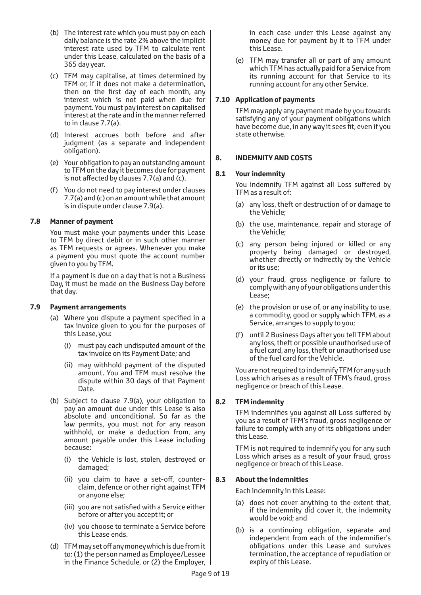- (b) The interest rate which you must pay on each daily balance is the rate 2% above the implicit interest rate used by TFM to calculate rent under this Lease, calculated on the basis of a 365 day year.
- (c) TFM may capitalise, at times determined by TFM or, if it does not make a determination, then on the first day of each month, any interest which is not paid when due for payment. You must pay interest on capitalised interest at the rate and in the manner referred to in clause 7.7(a).
- (d) Interest accrues both before and after judgment (as a separate and independent obligation).
- (e) Your obligation to pay an outstanding amount to TFM on the day it becomes due for payment is not affected by clauses 7.7(a) and (c).
- (f) You do not need to pay interest under clauses 7.7(a) and (c) on an amount while that amount is in dispute under clause 7.9(a).

#### **7.8 Manner of payment**

You must make your payments under this Lease to TFM by direct debit or in such other manner as TFM requests or agrees. Whenever you make a payment you must quote the account number given to you by TFM.

If a payment is due on a day that is not a Business Day, it must be made on the Business Day before that day.

#### **7.9 Payment arrangements**

- (a) Where you dispute a payment specified in a tax invoice given to you for the purposes of this Lease, you:
	- (i) must pay each undisputed amount of the tax invoice on its Payment Date; and
	- (ii) may withhold payment of the disputed amount. You and TFM must resolve the dispute within 30 days of that Payment Date.
- (b) Subject to clause 7.9(a), your obligation to pay an amount due under this Lease is also absolute and unconditional. So far as the law permits, you must not for any reason withhold, or make a deduction from, any amount payable under this Lease including because:
	- (i) the Vehicle is lost, stolen, destroyed or damaged;
	- (ii) you claim to have a set-off, counterclaim, defence or other right against TFM or anyone else;
	- (iii) you are not satisfied with a Service either before or after you accept it; or
	- (iv) you choose to terminate a Service before this Lease ends.
- (d) TFM may set off any money which is due from it to: (1) the person named as Employee/Lessee in the Finance Schedule, or (2) the Employer,

in each case under this Lease against any money due for payment by it to TFM under this Lease.

(e) TFM may transfer all or part of any amount which TFM has actually paid for a Service from its running account for that Service to its running account for any other Service.

## **7.10 Application of payments**

TFM may apply any payment made by you towards satisfying any of your payment obligations which have become due, in any way it sees fit, even if you state otherwise.

#### **8. INDEMNITY AND COSTS**

#### **8.1 Your indemnity**

You indemnify TFM against all Loss suffered by TFM as a result of:

- (a) any loss, theft or destruction of or damage to the Vehicle;
- (b) the use, maintenance, repair and storage of the Vehicle;
- (c) any person being injured or killed or any property being damaged or destroyed, whether directly or indirectly by the Vehicle or its use;
- (d) your fraud, gross negligence or failure to comply with any of your obligations under this Lease;
- (e) the provision or use of, or any inability to use, a commodity, good or supply which TFM, as a Service, arranges to supply to you;
- (f) until 2 Business Days after you tell TFM about any loss, theft or possible unauthorised use of a fuel card, any loss, theft or unauthorised use of the fuel card for the Vehicle.

You are not required to indemnify TFM for any such Loss which arises as a result of TFM's fraud, gross negligence or breach of this Lease.

## **8.2 TFM indemnity**

TFM indemnifies you against all Loss suffered by you as a result of TFM's fraud, gross negligence or failure to comply with any of its obligations under this Lease.

TFM is not required to indemnify you for any such Loss which arises as a result of your fraud, gross negligence or breach of this Lease.

## **8.3 About the indemnities**

Each indemnity in this Lease:

- (a) does not cover anything to the extent that, if the indemnity did cover it, the indemnity would be void; and
- (b) is a continuing obligation, separate and independent from each of the indemnifier's obligations under this Lease and survives termination, the acceptance of repudiation or expiry of this Lease.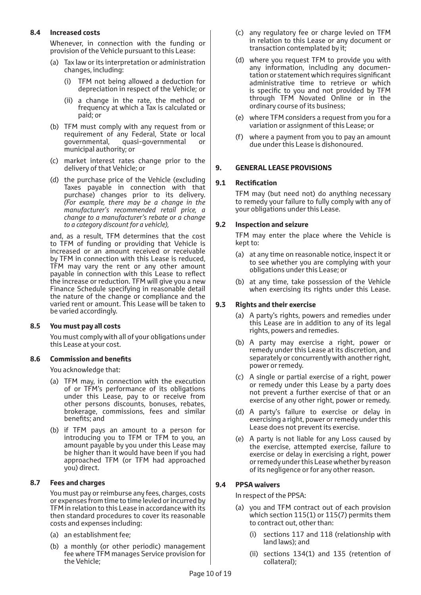## **8.4 Increased costs**

Whenever, in connection with the funding or provision of the Vehicle pursuant to this Lease:

- (a) Tax law or its interpretation or administration changes, including:
	- (i) TFM not being allowed a deduction for depreciation in respect of the Vehicle; or
	- (ii) a change in the rate, the method or frequency at which a Tax is calculated or paid; or
- (b) TFM must comply with any request from or requirement of any Federal, State or local governmental, quasi-governmental or municipal authority; or
- (c) market interest rates change prior to the delivery of that Vehicle; or
- (d) the purchase price of the Vehicle (excluding Taxes payable in connection with that purchase) changes prior to its delivery. *(For example, there may be a change in the manufacturer's recommended retail price, a change to a manufacturer's rebate or a change to a category discount for a vehicle),*

and, as a result, TFM determines that the cost to TFM of funding or providing that Vehicle is increased or an amount received or receivable by TFM in connection with this Lease is reduced, TFM may vary the rent or any other amount payable in connection with this Lease to reflect the increase or reduction. TFM will give you a new Finance Schedule specifying in reasonable detail the nature of the change or compliance and the varied rent or amount. This Lease will be taken to be varied accordingly.

#### **8.5 You must pay all costs**

You must comply with all of your obligations under this Lease at your cost.

#### **8.6 Commission and benefits**

You acknowledge that:

- (a) TFM may, in connection with the execution of or TFM's performance of its obligations under this Lease, pay to or receive from other persons discounts, bonuses, rebates, brokerage, commissions, fees and similar benefits; and
- (b) if TFM pays an amount to a person for introducing you to TFM or TFM to you, an amount payable by you under this Lease may be higher than it would have been if you had approached TFM (or TFM had approached you) direct.

#### **8.7 Fees and charges**

You must pay or reimburse any fees, charges, costs or expenses from time to time levied or incurred by TFM in relation to this Lease in accordance with its then standard procedures to cover its reasonable costs and expenses including:

- (a) an establishment fee;
- (b) a monthly (or other periodic) management fee where TFM manages Service provision for the Vehicle;
- (c) any regulatory fee or charge levied on TFM in relation to this Lease or any document or transaction contemplated by it;
- (d) where you request TFM to provide you with any information, including any documentation or statement which requires significant administrative time to retrieve or which is specific to you and not provided by TFM through TFM Novated Online or in the ordinary course of its business;
- (e) where TFM considers a request from you for a variation or assignment of this Lease; or
- (f) where a payment from you to pay an amount due under this Lease is dishonoured.

#### **9. GENERAL LEASE PROVISIONS**

#### **9.1 Rectification**

TFM may (but need not) do anything necessary to remedy your failure to fully comply with any of your obligations under this Lease.

#### **9.2 Inspection and seizure**

TFM may enter the place where the Vehicle is kept to:

- (a) at any time on reasonable notice, inspect it or to see whether you are complying with your obligations under this Lease; or
- (b) at any time, take possession of the Vehicle when exercising its rights under this Lease.

#### **9.3 Rights and their exercise**

- (a) A party's rights, powers and remedies under this Lease are in addition to any of its legal rights, powers and remedies.
- (b) A party may exercise a right, power or remedy under this Lease at its discretion, and separately or concurrently with another right, power or remedy.
- (c) A single or partial exercise of a right, power or remedy under this Lease by a party does not prevent a further exercise of that or an exercise of any other right, power or remedy.
- (d) A party's failure to exercise or delay in exercising a right, power or remedy under this Lease does not prevent its exercise.
- (e) A party is not liable for any Loss caused by the exercise, attempted exercise, failure to exercise or delay in exercising a right, power or remedy under this Lease whether by reason of its negligence or for any other reason.

## **9.4 PPSA waivers**

In respect of the PPSA:

- (a) you and TFM contract out of each provision which section 115(1) or 115(7) permits them to contract out, other than:
	- (i) sections 117 and 118 (relationship with land laws); and
	- (ii) sections 134(1) and 135 (retention of collateral);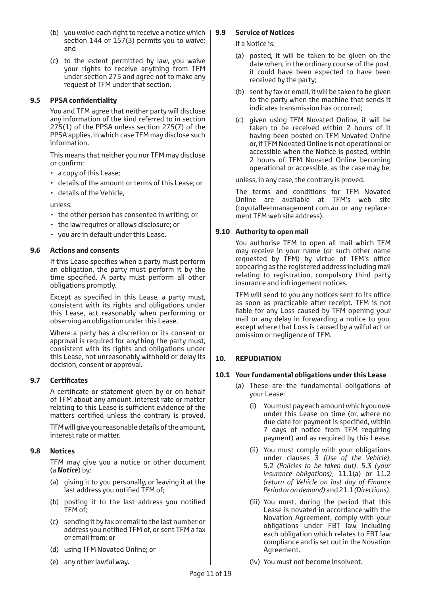- (b) you waive each right to receive a notice which section 144 or 157(3) permits you to waive; and
- (c) to the extent permitted by law, you waive your rights to receive anything from TFM under section 275 and agree not to make any request of TFM under that section.

#### **9.5 PPSA confidentiality**

You and TFM agree that neither party will disclose any information of the kind referred to in section 275(1) of the PPSA unless section 275(7) of the PPSA applies, in which case TFM may disclose such information.

This means that neither you nor TFM may disclose or confirm:

- a copy of this Lease;
- details of the amount or terms of this Lease; or
- details of the Vehicle,

unless:

- the other person has consented in writing; or
- the law requires or allows disclosure; or
- you are in default under this Lease.

#### **9.6 Actions and consents**

If this Lease specifies when a party must perform an obligation, the party must perform it by the time specified. A party must perform all other obligations promptly.

Except as specified in this Lease, a party must, consistent with its rights and obligations under this Lease, act reasonably when performing or observing an obligation under this Lease.

Where a party has a discretion or its consent or approval is required for anything the party must, consistent with its rights and obligations under this Lease, not unreasonably withhold or delay its decision, consent or approval.

#### **9.7 Certificates**

A certificate or statement given by or on behalf of TFM about any amount, interest rate or matter relating to this Lease is sufficient evidence of the matters certified unless the contrary is proved.

TFM will give you reasonable details of the amount, interest rate or matter.

#### **9.8 Notices**

TFM may give you a notice or other document (a *Notice*) by:

- (a) giving it to you personally, or leaving it at the last address you notified TFM of;
- (b) posting it to the last address you notified TFM of;
- (c) sending it by fax or email to the last number or address you notified TFM of, or sent TFM a fax or email from; or
- (d) using TFM Novated Online; or
- (e) any other lawful way.

## **9.9 Service of Notices**

If a Notice is:

- (a) posted, it will be taken to be given on the date when, in the ordinary course of the post, it could have been expected to have been received by the party;
- (b) sent by fax or email, it will be taken to be given to the party when the machine that sends it indicates transmission has occurred;
- (c) given using TFM Novated Online, it will be taken to be received within 2 hours of it having been posted on TFM Novated Online or, if TFM Novated Online is not operational or accessible when the Notice is posted, within 2 hours of TFM Novated Online becoming operational or accessible, as the case may be,

unless, in any case, the contrary is proved.

The terms and conditions for TFM Novated Online are available at TFM's web site (toyotafleetmanagement.com.au or any replacement TFM web site address).

#### **9.10 Authority to open mail**

You authorise TFM to open all mail which TFM may receive in your name (or such other name requested by TFM) by virtue of TFM's office appearing as the registered address including mail relating to registration, compulsory third party insurance and infringement notices.

TFM will send to you any notices sent to its office as soon as practicable after receipt. TFM is not liable for any Loss caused by TFM opening your mail or any delay in forwarding a notice to you, except where that Loss is caused by a wilful act or omission or negligence of TFM.

## **10. REPUDIATION**

#### **10.1 Your fundamental obligations under this Lease**

- (a) These are the fundamental obligations of your Lease:
	- (i) You must pay each amount which you owe under this Lease on time (or, where no due date for payment is specified, within 7 days of notice from TFM requiring payment) and as required by this Lease.
	- (ii) You must comply with your obligations under clauses 3 *(Use of the Vehicle)*, 5.2 *(Policies to be taken out)*, 5.3 *(your insurance obligations)*, 11.1(a) or 11.2 *(return of Vehicle on last day of Finance Period or on demand)* and 21.1 *(Directions)*.
	- (iii) You must, during the period that this Lease is novated in accordance with the Novation Agreement, comply with your obligations under FBT law including each obligation which relates to FBT law compliance and is set out in the Novation Agreement.
	- (iv) You must not become Insolvent.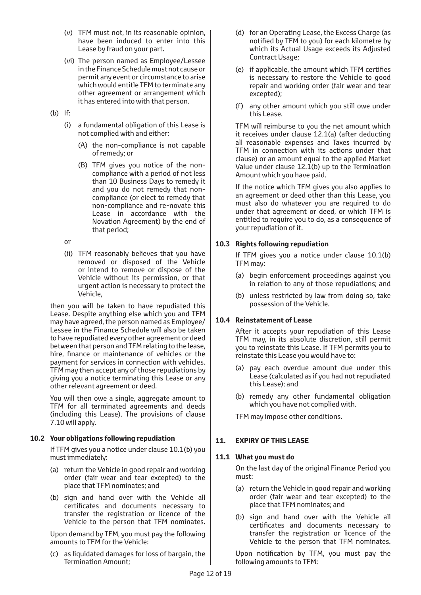- (v) TFM must not, in its reasonable opinion, have been induced to enter into this Lease by fraud on your part.
- (vi) The person named as Employee/Lessee in the Finance Schedule must not cause or permit any event or circumstance to arise which would entitle TFM to terminate any other agreement or arrangement which it has entered into with that person.
- (b) If:
	- (i) a fundamental obligation of this Lease is not complied with and either:
		- (A) the non-compliance is not capable of remedy; or
		- (B) TFM gives you notice of the noncompliance with a period of not less than 10 Business Days to remedy it and you do not remedy that noncompliance (or elect to remedy that non-compliance and re-novate this Lease in accordance with the Novation Agreement) by the end of that period;

or

(ii) TFM reasonably believes that you have removed or disposed of the Vehicle or intend to remove or dispose of the Vehicle without its permission, or that urgent action is necessary to protect the Vehicle,

then you will be taken to have repudiated this Lease. Despite anything else which you and TFM may have agreed, the person named as Employee/ Lessee in the Finance Schedule will also be taken to have repudiated every other agreement or deed between that person and TFM relating to the lease, hire, finance or maintenance of vehicles or the payment for services in connection with vehicles. TFM may then accept any of those repudiations by giving you a notice terminating this Lease or any other relevant agreement or deed.

You will then owe a single, aggregate amount to TFM for all terminated agreements and deeds (including this Lease). The provisions of clause 7.10 will apply.

## **10.2 Your obligations following repudiation**

If TFM gives you a notice under clause 10.1(b) you must immediately:

- (a) return the Vehicle in good repair and working order (fair wear and tear excepted) to the place that TFM nominates; and
- (b) sign and hand over with the Vehicle all certificates and documents necessary to transfer the registration or licence of the Vehicle to the person that TFM nominates.

Upon demand by TFM, you must pay the following amounts to TFM for the Vehicle:

(c) as liquidated damages for loss of bargain, the Termination Amount;

- (d) for an Operating Lease, the Excess Charge (as notified by TFM to you) for each kilometre by which its Actual Usage exceeds its Adjusted Contract Usage;
- (e) if applicable, the amount which TFM certifies is necessary to restore the Vehicle to good repair and working order (fair wear and tear excepted);
- (f) any other amount which you still owe under this Lease.

TFM will reimburse to you the net amount which it receives under clause 12.1(a) (after deducting all reasonable expenses and Taxes incurred by TFM in connection with its actions under that clause) or an amount equal to the applied Market Value under clause 12.1(b) up to the Termination Amount which you have paid.

If the notice which TFM gives you also applies to an agreement or deed other than this Lease, you must also do whatever you are required to do under that agreement or deed, or which TFM is entitled to require you to do, as a consequence of your repudiation of it.

## **10.3 Rights following repudiation**

If TFM gives you a notice under clause 10.1(b) TFM may:

- (a) begin enforcement proceedings against you in relation to any of those repudiations; and
- (b) unless restricted by law from doing so, take possession of the Vehicle.

## **10.4 Reinstatement of Lease**

After it accepts your repudiation of this Lease TFM may, in its absolute discretion, still permit you to reinstate this Lease. If TFM permits you to reinstate this Lease you would have to:

- (a) pay each overdue amount due under this Lease (calculated as if you had not repudiated this Lease); and
- (b) remedy any other fundamental obligation which you have not complied with.

TFM may impose other conditions.

## **11. EXPIRY OF THIS LEASE**

## **11.1 What you must do**

On the last day of the original Finance Period you must:

- (a) return the Vehicle in good repair and working order (fair wear and tear excepted) to the place that TFM nominates; and
- (b) sign and hand over with the Vehicle all certificates and documents necessary to transfer the registration or licence of the Vehicle to the person that TFM nominates.

Upon notification by TFM, you must pay the following amounts to TFM: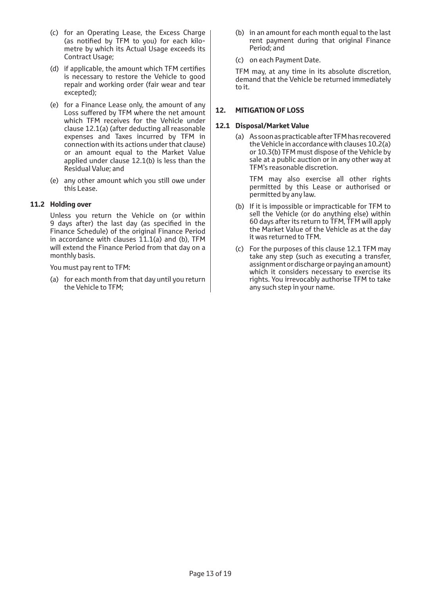- (c) for an Operating Lease, the Excess Charge (as notified by TFM to you) for each kilometre by which its Actual Usage exceeds its Contract Usage;
- (d) if applicable, the amount which TFM certifies is necessary to restore the Vehicle to good repair and working order (fair wear and tear excepted);
- (e) for a Finance Lease only, the amount of any Loss suffered by TFM where the net amount which TFM receives for the Vehicle under clause 12.1(a) (after deducting all reasonable expenses and Taxes incurred by TFM in connection with its actions under that clause) or an amount equal to the Market Value applied under clause 12.1(b) is less than the Residual Value; and
- (e) any other amount which you still owe under this Lease.

#### **11.2 Holding over**

Unless you return the Vehicle on (or within 9 days after) the last day (as specified in the Finance Schedule) of the original Finance Period in accordance with clauses 11.1(a) and (b), TFM will extend the Finance Period from that day on a monthly basis.

You must pay rent to TFM:

(a) for each month from that day until you return the Vehicle to TFM;

- (b) in an amount for each month equal to the last rent payment during that original Finance Period; and
- (c) on each Payment Date.

TFM may, at any time in its absolute discretion, demand that the Vehicle be returned immediately to it.

#### **12. MITIGATION OF LOSS**

#### **12.1 Disposal/Market Value**

(a) As soon as practicable after TFM has recovered the Vehicle in accordance with clauses 10.2(a) or 10.3(b) TFM must dispose of the Vehicle by sale at a public auction or in any other way at TFM's reasonable discretion.

TFM may also exercise all other rights permitted by this Lease or authorised or permitted by any law.

- (b) If it is impossible or impracticable for TFM to sell the Vehicle (or do anything else) within 60 days after its return to TFM, TFM will apply the Market Value of the Vehicle as at the day it was returned to TFM.
- (c) For the purposes of this clause 12.1 TFM may take any step (such as executing a transfer, assignment or discharge or paying an amount) which it considers necessary to exercise its rights. You irrevocably authorise TFM to take any such step in your name.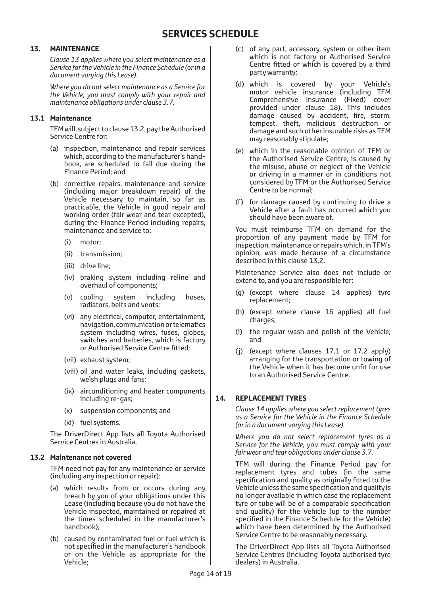## **13. MAINTENANCE**

*Clause 13 applies where you select maintenance as a Service for the Vehicle in the Finance Schedule (or in a document varying this Lease).*

*Where you do not select maintenance as a Service for the Vehicle, you must comply with your repair and maintenance obligations under clause 3.7.*

## **13.1 Maintenance**

TFM will, subject to clause 13.2, pay the Authorised Service Centre for:

- (a) inspection, maintenance and repair services which, according to the manufacturer's handbook, are scheduled to fall due during the Finance Period; and
- (b) corrective repairs, maintenance and service (including major breakdown repair) of the Vehicle necessary to maintain, so far as practicable, the Vehicle in good repair and working order (fair wear and tear excepted), during the Finance Period including repairs, maintenance and service to:
	- (i) motor;
	- (ii) transmission;
	- (iii) drive line;
	- (iv) braking system including reline and overhaul of components;
	- (v) cooling system including hoses, radiators, belts and vents;
	- (vi) any electrical, computer, entertainment, navigation, communication or telematics system including wires, fuses, globes, switches and batteries, which is factory or Authorised Service Centre fitted;
	- (vii) exhaust system;
	- (viii) oil and water leaks, including gaskets, welsh plugs and fans;
	- (ix) airconditioning and heater components including re-gas;
	- (x) suspension components; and
	- (xi) fuel systems.

The DriverDirect App lists all Toyota Authorised Service Centres in Australia.

#### **13.2 Maintenance not covered**

TFM need not pay for any maintenance or service (including any inspection or repair):

- (a) which results from or occurs during any breach by you of your obligations under this Lease (including because you do not have the Vehicle inspected, maintained or repaired at the times scheduled in the manufacturer's handbook);
- (b) caused by contaminated fuel or fuel which is not specified in the manufacturer's handbook or on the Vehicle as appropriate for the Vehicle;
- (c) of any part, accessory, system or other item which is not factory or Authorised Service Centre fitted or which is covered by a third party warranty;
- (d) which is covered by your Vehicle's motor vehicle insurance (including TFM Comprehensive Insurance (Fixed) cover provided under clause 18). This includes damage caused by accident, fire, storm, tempest, theft, malicious destruction or damage and such other insurable risks as TFM may reasonably stipulate;
- (e) which in the reasonable opinion of TFM or the Authorised Service Centre, is caused by the misuse, abuse or neglect of the Vehicle or driving in a manner or in conditions not considered by TFM or the Authorised Service Centre to be normal;
- (f) for damage caused by continuing to drive a Vehicle after a fault has occurred which you should have been aware of.

You must reimburse TFM on demand for the proportion of any payment made by TFM for inspection, maintenance or repairs which, in TFM's opinion, was made because of a circumstance described in this clause 13.2.

Maintenance Service also does not include or extend to, and you are responsible for:

- (g) (except where clause 14 applies) tyre replacement;
- (h) (except where clause 16 applies) all fuel charges;
- (i) the regular wash and polish of the Vehicle; and
- (j) (except where clauses 17.1 or 17.2 apply) arranging for the transportation or towing of the Vehicle when it has become unfit for use to an Authorised Service Centre.

## **14. REPLACEMENT TYRES**

*Clause 14 applies where you select replacement tyres as a Service for the Vehicle in the Finance Schedule (or in a document varying this Lease).*

*Where you do not select replacement tyres as a Service for the Vehicle, you must comply with your fair wear and tear obligations under clause 3.7.*

TFM will during the Finance Period pay for replacement tyres and tubes (in the same specification and quality as originally fitted to the Vehicle unless the same specification and quality is no longer available in which case the replacement tyre or tube will be of a comparable specification and quality) for the Vehicle (up to the number specified in the Finance Schedule for the Vehicle) which have been determined by the Authorised Service Centre to be reasonably necessary.

The DriverDirect App lists all Toyota Authorised Service Centres (including Toyota authorised tyre dealers) in Australia.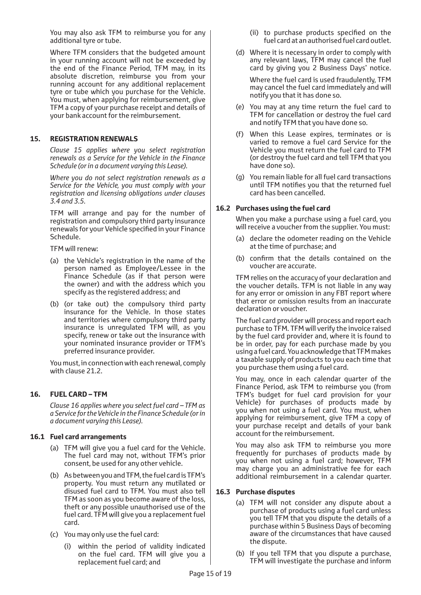You may also ask TFM to reimburse you for any additional tyre or tube.

Where TFM considers that the budgeted amount in your running account will not be exceeded by the end of the Finance Period, TFM may, in its absolute discretion, reimburse you from your running account for any additional replacement tyre or tube which you purchase for the Vehicle. You must, when applying for reimbursement, give TFM a copy of your purchase receipt and details of your bank account for the reimbursement.

#### **15. REGISTRATION RENEWALS**

*Clause 15 applies where you select registration renewals as a Service for the Vehicle in the Finance Schedule (or in a document varying this Lease).*

*Where you do not select registration renewals as a Service for the Vehicle, you must comply with your registration and licensing obligations under clauses 3.4 and 3.5.*

TFM will arrange and pay for the number of registration and compulsory third party insurance renewals for your Vehicle specified in your Finance Schedule.

TFM will renew:

- (a) the Vehicle's registration in the name of the person named as Employee/Lessee in the Finance Schedule (as if that person were the owner) and with the address which you specify as the registered address; and
- (b) (or take out) the compulsory third party insurance for the Vehicle. In those states and territories where compulsory third party insurance is unregulated TFM will, as you specify, renew or take out the insurance with your nominated insurance provider or TFM's preferred insurance provider.

You must, in connection with each renewal, comply with clause 21.2.

## **16. FUEL CARD – TFM**

*Clause 16 applies where you select fuel card – TFM as a Service for the Vehicle in the Finance Schedule (or in a document varying this Lease).*

#### **16.1 Fuel card arrangements**

- (a) TFM will give you a fuel card for the Vehicle. The fuel card may not, without TFM's prior consent, be used for any other vehicle.
- (b) As between you and TFM, the fuel card is TFM's property. You must return any mutilated or disused fuel card to TFM. You must also tell TFM as soon as you become aware of the loss, theft or any possible unauthorised use of the fuel card. TFM will give you a replacement fuel card.
- (c) You may only use the fuel card:
	- (i) within the period of validity indicated on the fuel card. TFM will give you a replacement fuel card; and
- (ii) to purchase products specified on the fuel card at an authorised fuel card outlet.
- (d) Where it is necessary in order to comply with any relevant laws, TFM may cancel the fuel card by giving you 2 Business Days' notice.

Where the fuel card is used fraudulently, TFM may cancel the fuel card immediately and will notify you that it has done so.

- (e) You may at any time return the fuel card to TFM for cancellation or destroy the fuel card and notify TFM that you have done so.
- (f) When this Lease expires, terminates or is varied to remove a fuel card Service for the Vehicle you must return the fuel card to TFM (or destroy the fuel card and tell TFM that you have done so).
- (g) You remain liable for all fuel card transactions until TFM notifies you that the returned fuel card has been cancelled.

## **16.2 Purchases using the fuel card**

When you make a purchase using a fuel card, you will receive a voucher from the supplier. You must:

- (a) declare the odometer reading on the Vehicle at the time of purchase; and
- (b) confirm that the details contained on the voucher are accurate.

TFM relies on the accuracy of your declaration and the voucher details. TFM is not liable in any way for any error or omission in any FBT report where that error or omission results from an inaccurate declaration or voucher.

The fuel card provider will process and report each purchase to TFM. TFM will verify the invoice raised by the fuel card provider and, where it is found to be in order, pay for each purchase made by you using a fuel card. You acknowledge that TFM makes a taxable supply of products to you each time that you purchase them using a fuel card.

You may, once in each calendar quarter of the Finance Period, ask TFM to reimburse you (from TFM's budget for fuel card provision for your Vehicle) for purchases of products made by you when not using a fuel card. You must, when applying for reimbursement, give TFM a copy of your purchase receipt and details of your bank account for the reimbursement.

You may also ask TFM to reimburse you more frequently for purchases of products made by you when not using a fuel card; however, TFM may charge you an administrative fee for each additional reimbursement in a calendar quarter.

## **16.3 Purchase disputes**

- (a) TFM will not consider any dispute about a purchase of products using a fuel card unless you tell TFM that you dispute the details of a purchase within 5 Business Days of becoming aware of the circumstances that have caused the dispute.
- (b) If you tell TFM that you dispute a purchase, TFM will investigate the purchase and inform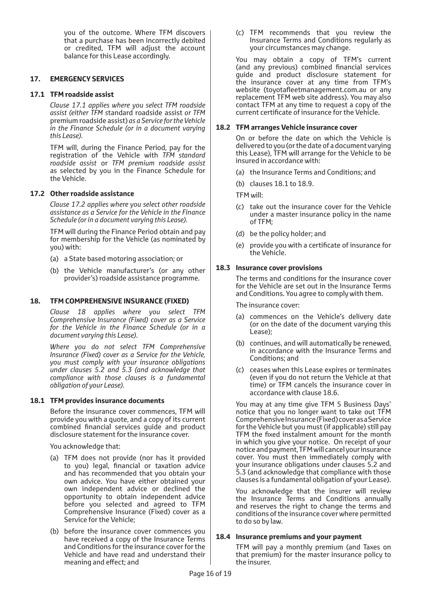you of the outcome. Where TFM discovers that a purchase has been incorrectly debited or credited, TFM will adjust the account balance for this Lease accordingly.

#### **17. EMERGENCY SERVICES**

#### **17.1 TFM roadside assist**

*Clause 17.1 applies where you select TFM roadside assist (either TFM s*tandard roadside assist *or TFM*  premium roadside assist) *as a Service for the Vehicle in the Finance Schedule (or in a document varying this Lease).*

TFM will, during the Finance Period, pay for the registration of the Vehicle with *TFM standard roadside assist* or *TFM premium roadside assist* as selected by you in the Finance Schedule for the Vehicle.

#### **17.2 Other roadside assistance**

*Clause 17.2 applies where you select other roadside assistance as a Service for the Vehicle in the Finance Schedule (or in a document varying this Lease).*

TFM will during the Finance Period obtain and pay for membership for the Vehicle (as nominated by you) with:

- (a) a State based motoring association; or
- (b) the Vehicle manufacturer's (or any other provider's) roadside assistance programme.

## **18. TFM COMPREHENSIVE INSURANCE (FIXED)**

*Clause 18 applies where you select TFM Comprehensive Insurance (Fixed) cover as a Service for the Vehicle in the Finance Schedule (or in a document varying this Lease).*

*Where you do not select TFM Comprehensive Insurance (Fixed) cover as a Service for the Vehicle, you must comply with your insurance obligations under clauses 5.2 and 5.3 (and acknowledge that compliance with those clauses is a fundamental obligation of your Lease).*

## **18.1 TFM provides insurance documents**

Before the insurance cover commences, TFM will provide you with a quote, and a copy of its current combined financial services guide and product disclosure statement for the insurance cover.

You acknowledge that:

- (a) TFM does not provide (nor has it provided to you) legal, financial or taxation advice and has recommended that you obtain your own advice. You have either obtained your own independent advice or declined the opportunity to obtain independent advice before you selected and agreed to TFM Comprehensive Insurance (Fixed) cover as a Service for the Vehicle;
- (b) before the insurance cover commences you have received a copy of the Insurance Terms and Conditions for the insurance cover for the Vehicle and have read and understand their meaning and effect; and

(c) TFM recommends that you review the Insurance Terms and Conditions regularly as your circumstances may change.

You may obtain a copy of TFM's current (and any previous) combined financial services guide and product disclosure statement for the insurance cover at any time from TFM's website (toyotafleetmanagement.com.au or any replacement TFM web site address). You may also contact TFM at any time to request a copy of the current certificate of insurance for the Vehicle.

#### **18.2 TFM arranges Vehicle insurance cover**

On or before the date on which the Vehicle is delivered to you (or the date of a document varying this Lease), TFM will arrange for the Vehicle to be insured in accordance with:

- (a) the Insurance Terms and Conditions; and
- (b) clauses 18.1 to 18.9.

TFM will:

- (c) take out the insurance cover for the Vehicle under a master insurance policy in the name of TFM;
- (d) be the policy holder; and
- (e) provide you with a certificate of insurance for the Vehicle.

## **18.3 Insurance cover provisions**

The terms and conditions for the insurance cover for the Vehicle are set out in the Insurance Terms and Conditions. You agree to comply with them.

The insurance cover:

- (a) commences on the Vehicle's delivery date (or on the date of the document varying this Lease);
- (b) continues, and will automatically be renewed, in accordance with the Insurance Terms and Conditions; and
- (c) ceases when this Lease expires or terminates (even if you do not return the Vehicle at that time) or TFM cancels the insurance cover in accordance with clause 18.6.

You may at any time give TFM 5 Business Days' notice that you no longer want to take out TFM Comprehensive Insurance (Fixed) cover as a Service for the Vehicle but you must (if applicable) still pay TFM the fixed instalment amount for the month in which you give your notice. On receipt of your notice and payment, TFM will cancel your insurance cover. You must then immediately comply with your insurance obligations under clauses 5.2 and 5.3 (and acknowledge that compliance with those clauses is a fundamental obligation of your Lease).

You acknowledge that the insurer will review the Insurance Terms and Conditions annually and reserves the right to change the terms and conditions of the insurance cover where permitted to do so by law.

#### **18.4 Insurance premiums and your payment**

TFM will pay a monthly premium (and Taxes on that premium) for the master insurance policy to the insurer.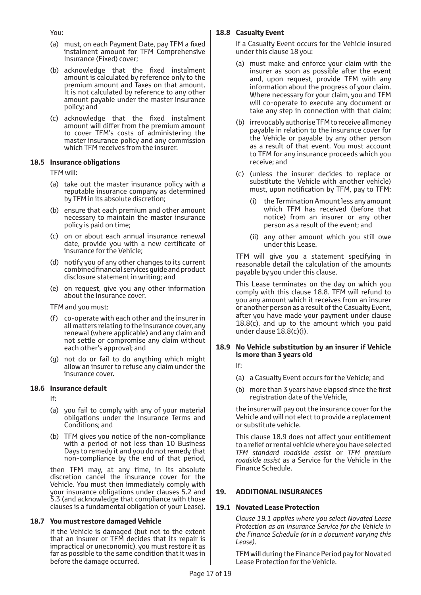You:

- (a) must, on each Payment Date, pay TFM a fixed instalment amount for TFM Comprehensive Insurance (Fixed) cover;
- (b) acknowledge that the fixed instalment amount is calculated by reference only to the premium amount and Taxes on that amount. It is not calculated by reference to any other amount payable under the master insurance policy; and
- (c) acknowledge that the fixed instalment amount will differ from the premium amount to cover TFM's costs of administering the master insurance policy and any commission which TFM receives from the insurer.

#### **18.5 Insurance obligations**

TFM will:

- (a) take out the master insurance policy with a reputable insurance company as determined by TFM in its absolute discretion;
- (b) ensure that each premium and other amount necessary to maintain the master insurance policy is paid on time;
- (c) on or about each annual insurance renewal date, provide you with a new certificate of insurance for the Vehicle;
- (d) notify you of any other changes to its current combined financial services guide and product disclosure statement in writing; and
- (e) on request, give you any other information about the insurance cover.

TFM and you must:

- (f) co-operate with each other and the insurer in all matters relating to the insurance cover, any renewal (where applicable) and any claim and not settle or compromise any claim without each other's approval; and
- (g) not do or fail to do anything which might allow an insurer to refuse any claim under the insurance cover.

#### **18.6 Insurance default**

If:

- (a) you fail to comply with any of your material obligations under the Insurance Terms and Conditions; and
- (b) TFM gives you notice of the non-compliance with a period of not less than 10 Business Days to remedy it and you do not remedy that non-compliance by the end of that period,

then TFM may, at any time, in its absolute discretion cancel the insurance cover for the Vehicle. You must then immediately comply with your insurance obligations under clauses 5.2 and 5.3 (and acknowledge that compliance with those clauses is a fundamental obligation of your Lease).

#### **18.7 You must restore damaged Vehicle**

If the Vehicle is damaged (but not to the extent that an insurer or TFM decides that its repair is impractical or uneconomic), you must restore it as far as possible to the same condition that it was in before the damage occurred.

## **18.8 Casualty Event**

If a Casualty Event occurs for the Vehicle insured under this clause 18 you:

- (a) must make and enforce your claim with the insurer as soon as possible after the event and, upon request, provide TFM with any information about the progress of your claim. Where necessary for your claim, you and TFM will co-operate to execute any document or take any step in connection with that claim;
- (b) irrevocably authorise TFM to receive all money payable in relation to the insurance cover for the Vehicle or payable by any other person as a result of that event. You must account to TFM for any insurance proceeds which you receive; and
- (c) (unless the insurer decides to replace or substitute the Vehicle with another vehicle) must, upon notification by TFM, pay to TFM:
	- (i) the Termination Amount less any amount which TFM has received (before that notice) from an insurer or any other person as a result of the event; and
	- (ii) any other amount which you still owe under this Lease.

TFM will give you a statement specifying in reasonable detail the calculation of the amounts payable by you under this clause.

This Lease terminates on the day on which you comply with this clause 18.8. TFM will refund to you any amount which it receives from an insurer or another person as a result of the Casualty Event, after you have made your payment under clause 18.8(c), and up to the amount which you paid under clause 18.8(c)(i).

#### **18.9 No Vehicle substitution by an insurer if Vehicle is more than 3 years old**

- If:
- (a) a Casualty Event occurs for the Vehicle; and
- (b) more than 3 years have elapsed since the first registration date of the Vehicle,

the insurer will pay out the insurance cover for the Vehicle and will not elect to provide a replacement or substitute vehicle.

This clause 18.9 does not affect your entitlement to a relief or rental vehicle where you have selected *TFM standard roadside assist* or *TFM premium roadside assist* as a Service for the Vehicle in the Finance Schedule.

## **19. ADDITIONAL INSURANCES**

## **19.1 Novated Lease Protection**

*Clause 19.1 applies where you select Novated Lease Protection as an insurance Service for the Vehicle in the Finance Schedule (or in a document varying this Lease).*

TFM will during the Finance Period pay for Novated Lease Protection for the Vehicle.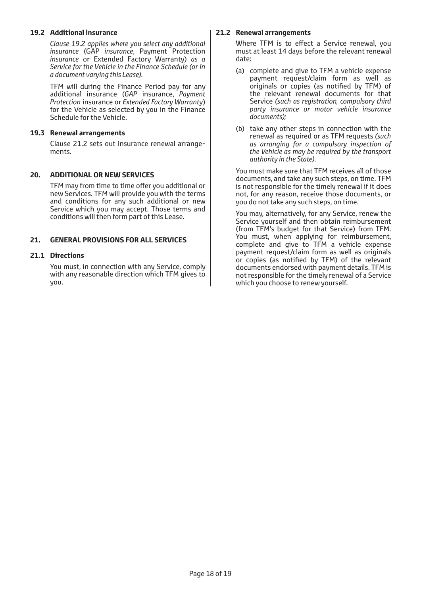#### **19.2 Additional insurance**

*Clause 19.2 applies where you select any additional insurance* (GAP *insurance*, Payment Protection *insurance* or Extended Factory Warranty) *as a Service for the Vehicle in the Finance Schedule (or in a document varying this Lease).*

TFM will during the Finance Period pay for any additional insurance (*GAP* insurance, *Payment Protection* insurance or *Extended Factory Warranty*) for the Vehicle as selected by you in the Finance Schedule for the Vehicle.

#### **19.3 Renewal arrangements**

Clause 21.2 sets out insurance renewal arrangements.

#### **20. ADDITIONAL OR NEW SERVICES**

TFM may from time to time offer you additional or new Services. TFM will provide you with the terms and conditions for any such additional or new Service which you may accept. Those terms and conditions will then form part of this Lease.

#### **21. GENERAL PROVISIONS FOR ALL SERVICES**

#### **21.1 Directions**

You must, in connection with any Service, comply with any reasonable direction which TFM gives to you.

#### **21.2 Renewal arrangements**

Where TFM is to effect a Service renewal, you must at least 14 days before the relevant renewal date:

- (a) complete and give to TFM a vehicle expense payment request/claim form as well as originals or copies (as notified by TFM) of the relevant renewal documents for that Service *(such as registration, compulsory third party insurance or motor vehicle insurance documents);*
- (b) take any other steps in connection with the renewal as required or as TFM requests *(such as arranging for a compulsory inspection of the Vehicle as may be required by the transport authority in the State).*

You must make sure that TFM receives all of those documents, and take any such steps, on time. TFM is not responsible for the timely renewal if it does not, for any reason, receive those documents, or you do not take any such steps, on time.

You may, alternatively, for any Service, renew the Service yourself and then obtain reimbursement (from TFM's budget for that Service) from TFM. You must, when applying for reimbursement, complete and give to TFM a vehicle expense payment request/claim form as well as originals or copies (as notified by TFM) of the relevant documents endorsed with payment details. TFM is not responsible for the timely renewal of a Service which you choose to renew yourself.